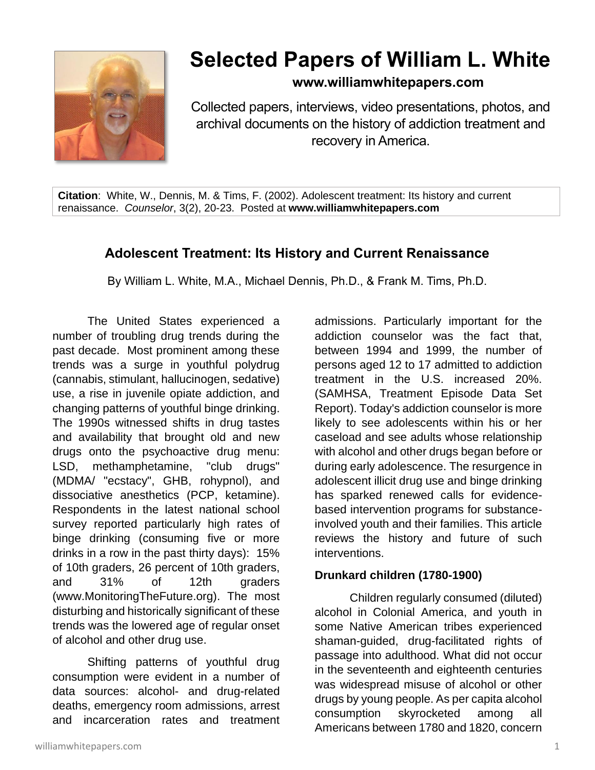

# **Selected Papers of William L. White**

**www.williamwhitepapers.com**

Collected papers, interviews, video presentations, photos, and archival documents on the history of addiction treatment and recovery in America.

**Citation**: White, W., Dennis, M. & Tims, F. (2002). Adolescent treatment: Its history and current renaissance. *Counselor*, 3(2), 20-23. Posted at **www.williamwhitepapers.com**

# **Adolescent Treatment: Its History and Current Renaissance**

By William L. White, M.A., Michael Dennis, Ph.D., & Frank M. Tims, Ph.D.

The United States experienced a number of troubling drug trends during the past decade. Most prominent among these trends was a surge in youthful polydrug (cannabis, stimulant, hallucinogen, sedative) use, a rise in juvenile opiate addiction, and changing patterns of youthful binge drinking. The 1990s witnessed shifts in drug tastes and availability that brought old and new drugs onto the psychoactive drug menu: LSD, methamphetamine, "club drugs" (MDMA/ "ecstacy", GHB, rohypnol), and dissociative anesthetics (PCP, ketamine). Respondents in the latest national school survey reported particularly high rates of binge drinking (consuming five or more drinks in a row in the past thirty days): 15% of 10th graders, 26 percent of 10th graders, and 31% of 12th graders (www.MonitoringTheFuture.org). The most disturbing and historically significant of these trends was the lowered age of regular onset of alcohol and other drug use.

Shifting patterns of youthful drug consumption were evident in a number of data sources: alcohol- and drug-related deaths, emergency room admissions, arrest and incarceration rates and treatment

admissions. Particularly important for the addiction counselor was the fact that, between 1994 and 1999, the number of persons aged 12 to 17 admitted to addiction treatment in the U.S. increased 20%. (SAMHSA, Treatment Episode Data Set Report). Today's addiction counselor is more likely to see adolescents within his or her caseload and see adults whose relationship with alcohol and other drugs began before or during early adolescence. The resurgence in adolescent illicit drug use and binge drinking has sparked renewed calls for evidencebased intervention programs for substanceinvolved youth and their families. This article reviews the history and future of such interventions.

## **Drunkard children (1780-1900)**

Children regularly consumed (diluted) alcohol in Colonial America, and youth in some Native American tribes experienced shaman-guided, drug-facilitated rights of passage into adulthood. What did not occur in the seventeenth and eighteenth centuries was widespread misuse of alcohol or other drugs by young people. As per capita alcohol consumption skyrocketed among all Americans between 1780 and 1820, concern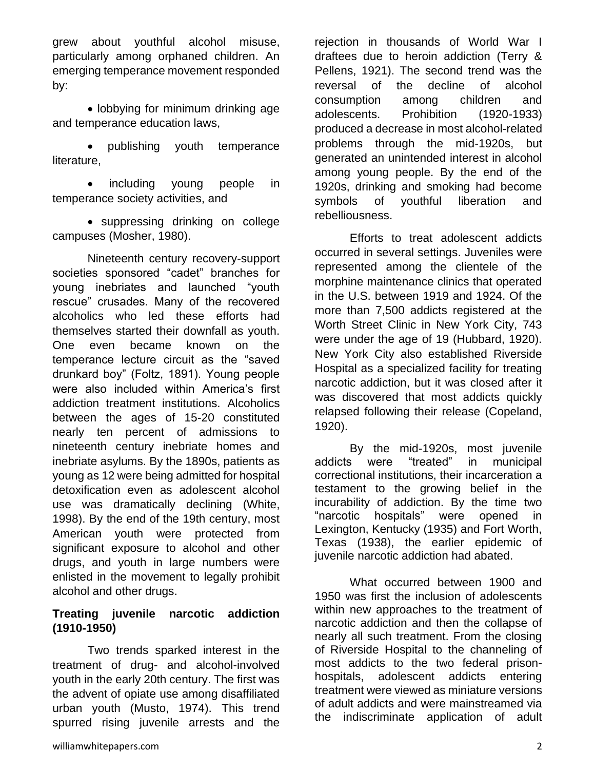grew about youthful alcohol misuse, particularly among orphaned children. An emerging temperance movement responded by:

• lobbying for minimum drinking age and temperance education laws,

• publishing youth temperance literature,

• including young people in temperance society activities, and

• suppressing drinking on college campuses (Mosher, 1980).

Nineteenth century recovery-support societies sponsored "cadet" branches for young inebriates and launched "youth rescue" crusades. Many of the recovered alcoholics who led these efforts had themselves started their downfall as youth. One even became known on the temperance lecture circuit as the "saved drunkard boy" (Foltz, 1891). Young people were also included within America's first addiction treatment institutions. Alcoholics between the ages of 15-20 constituted nearly ten percent of admissions to nineteenth century inebriate homes and inebriate asylums. By the 1890s, patients as young as 12 were being admitted for hospital detoxification even as adolescent alcohol use was dramatically declining (White, 1998). By the end of the 19th century, most American youth were protected from significant exposure to alcohol and other drugs, and youth in large numbers were enlisted in the movement to legally prohibit alcohol and other drugs.

#### **Treating juvenile narcotic addiction (1910-1950)**

Two trends sparked interest in the treatment of drug- and alcohol-involved youth in the early 20th century. The first was the advent of opiate use among disaffiliated urban youth (Musto, 1974). This trend spurred rising juvenile arrests and the

rejection in thousands of World War I draftees due to heroin addiction (Terry & Pellens, 1921). The second trend was the reversal of the decline of alcohol consumption among children and adolescents. Prohibition (1920-1933) produced a decrease in most alcohol-related problems through the mid-1920s, but generated an unintended interest in alcohol among young people. By the end of the 1920s, drinking and smoking had become symbols of youthful liberation and rebelliousness.

Efforts to treat adolescent addicts occurred in several settings. Juveniles were represented among the clientele of the morphine maintenance clinics that operated in the U.S. between 1919 and 1924. Of the more than 7,500 addicts registered at the Worth Street Clinic in New York City, 743 were under the age of 19 (Hubbard, 1920). New York City also established Riverside Hospital as a specialized facility for treating narcotic addiction, but it was closed after it was discovered that most addicts quickly relapsed following their release (Copeland, 1920).

By the mid-1920s, most juvenile addicts were "treated" in municipal correctional institutions, their incarceration a testament to the growing belief in the incurability of addiction. By the time two "narcotic hospitals" were opened in Lexington, Kentucky (1935) and Fort Worth, Texas (1938), the earlier epidemic of juvenile narcotic addiction had abated.

What occurred between 1900 and 1950 was first the inclusion of adolescents within new approaches to the treatment of narcotic addiction and then the collapse of nearly all such treatment. From the closing of Riverside Hospital to the channeling of most addicts to the two federal prisonhospitals, adolescent addicts entering treatment were viewed as miniature versions of adult addicts and were mainstreamed via the indiscriminate application of adult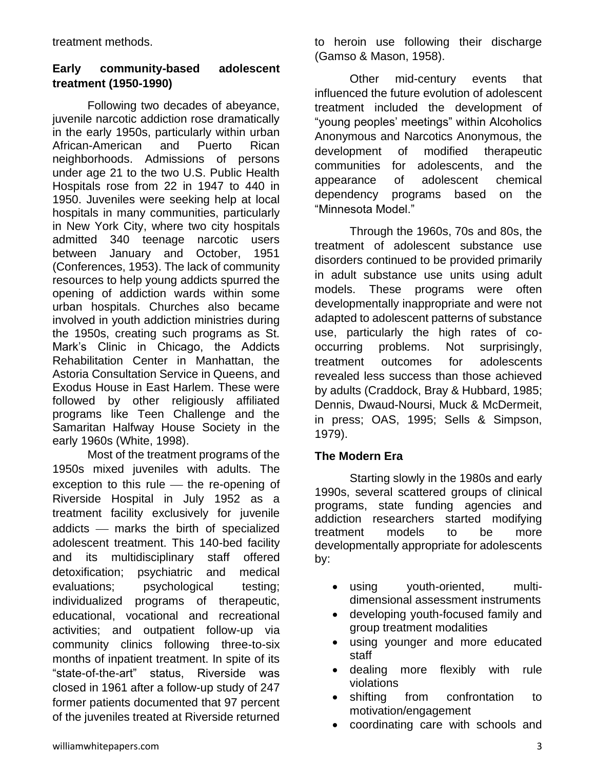treatment methods.

#### **Early community-based adolescent treatment (1950-1990)**

Following two decades of abeyance, juvenile narcotic addiction rose dramatically in the early 1950s, particularly within urban African-American and Puerto Rican neighborhoods. Admissions of persons under age 21 to the two U.S. Public Health Hospitals rose from 22 in 1947 to 440 in 1950. Juveniles were seeking help at local hospitals in many communities, particularly in New York City, where two city hospitals admitted 340 teenage narcotic users between January and October, 1951 (Conferences, 1953). The lack of community resources to help young addicts spurred the opening of addiction wards within some urban hospitals. Churches also became involved in youth addiction ministries during the 1950s, creating such programs as St. Mark's Clinic in Chicago, the Addicts Rehabilitation Center in Manhattan, the Astoria Consultation Service in Queens, and Exodus House in East Harlem. These were followed by other religiously affiliated programs like Teen Challenge and the Samaritan Halfway House Society in the early 1960s (White, 1998).

Most of the treatment programs of the 1950s mixed juveniles with adults. The exception to this rule  $-$  the re-opening of Riverside Hospital in July 1952 as a treatment facility exclusively for juvenile addicts - marks the birth of specialized adolescent treatment. This 140-bed facility and its multidisciplinary staff offered detoxification; psychiatric and medical evaluations; psychological testing; individualized programs of therapeutic, educational, vocational and recreational activities; and outpatient follow-up via community clinics following three-to-six months of inpatient treatment. In spite of its "state-of-the-art" status, Riverside was closed in 1961 after a follow-up study of 247 former patients documented that 97 percent of the juveniles treated at Riverside returned

to heroin use following their discharge (Gamso & Mason, 1958).

Other mid-century events that influenced the future evolution of adolescent treatment included the development of "young peoples' meetings" within Alcoholics Anonymous and Narcotics Anonymous, the development of modified therapeutic communities for adolescents, and the appearance of adolescent chemical dependency programs based on the "Minnesota Model."

Through the 1960s, 70s and 80s, the treatment of adolescent substance use disorders continued to be provided primarily in adult substance use units using adult models. These programs were often developmentally inappropriate and were not adapted to adolescent patterns of substance use, particularly the high rates of cooccurring problems. Not surprisingly, treatment outcomes for adolescents revealed less success than those achieved by adults (Craddock, Bray & Hubbard, 1985; Dennis, Dwaud-Noursi, Muck & McDermeit, in press; OAS, 1995; Sells & Simpson, 1979).

#### **The Modern Era**

Starting slowly in the 1980s and early 1990s, several scattered groups of clinical programs, state funding agencies and addiction researchers started modifying treatment models to be more developmentally appropriate for adolescents by:

- using youth-oriented, multidimensional assessment instruments
- developing youth-focused family and group treatment modalities
- using younger and more educated staff
- dealing more flexibly with rule violations
- shifting from confrontation to motivation/engagement
- coordinating care with schools and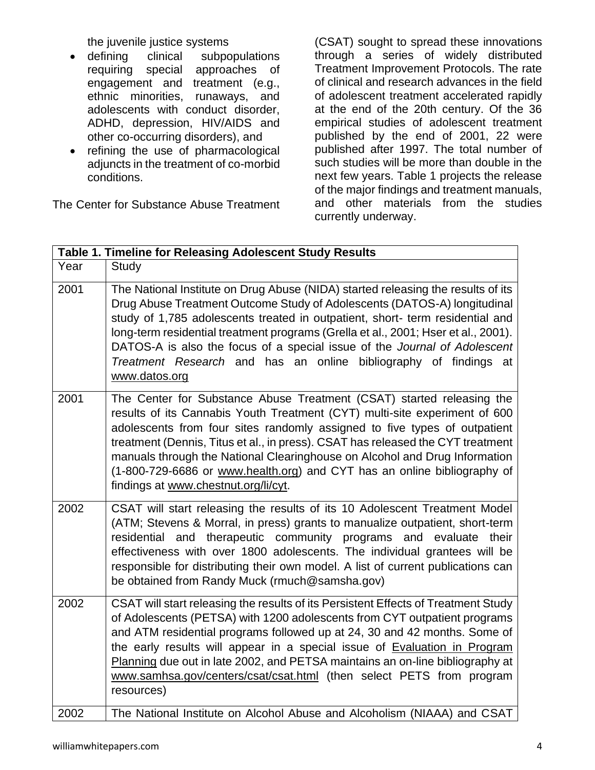the juvenile justice systems

- defining clinical subpopulations requiring special approaches of engagement and treatment (e.g., ethnic minorities, runaways, and adolescents with conduct disorder, ADHD, depression, HIV/AIDS and other co-occurring disorders), and
- refining the use of pharmacological adjuncts in the treatment of co-morbid conditions.

The Center for Substance Abuse Treatment

(CSAT) sought to spread these innovations through a series of widely distributed Treatment Improvement Protocols. The rate of clinical and research advances in the field of adolescent treatment accelerated rapidly at the end of the 20th century. Of the 36 empirical studies of adolescent treatment published by the end of 2001, 22 were published after 1997. The total number of such studies will be more than double in the next few years. Table 1 projects the release of the major findings and treatment manuals, and other materials from the studies currently underway.

| Table 1. Timeline for Releasing Adolescent Study Results |                                                                                                                                                                                                                                                                                                                                                                                                                                                                                                                       |
|----------------------------------------------------------|-----------------------------------------------------------------------------------------------------------------------------------------------------------------------------------------------------------------------------------------------------------------------------------------------------------------------------------------------------------------------------------------------------------------------------------------------------------------------------------------------------------------------|
| Year                                                     | Study                                                                                                                                                                                                                                                                                                                                                                                                                                                                                                                 |
| 2001                                                     | The National Institute on Drug Abuse (NIDA) started releasing the results of its<br>Drug Abuse Treatment Outcome Study of Adolescents (DATOS-A) longitudinal<br>study of 1,785 adolescents treated in outpatient, short- term residential and<br>long-term residential treatment programs (Grella et al., 2001; Hser et al., 2001).<br>DATOS-A is also the focus of a special issue of the Journal of Adolescent<br>Treatment Research and has an online bibliography of findings at<br>www.datos.org                 |
| 2001                                                     | The Center for Substance Abuse Treatment (CSAT) started releasing the<br>results of its Cannabis Youth Treatment (CYT) multi-site experiment of 600<br>adolescents from four sites randomly assigned to five types of outpatient<br>treatment (Dennis, Titus et al., in press). CSAT has released the CYT treatment<br>manuals through the National Clearinghouse on Alcohol and Drug Information<br>(1-800-729-6686 or www.health.org) and CYT has an online bibliography of<br>findings at www.chestnut.org/li/cyt. |
| 2002                                                     | CSAT will start releasing the results of its 10 Adolescent Treatment Model<br>(ATM; Stevens & Morral, in press) grants to manualize outpatient, short-term<br>residential and therapeutic community programs and evaluate their<br>effectiveness with over 1800 adolescents. The individual grantees will be<br>responsible for distributing their own model. A list of current publications can<br>be obtained from Randy Muck (rmuch@samsha.gov)                                                                    |
| 2002                                                     | CSAT will start releasing the results of its Persistent Effects of Treatment Study<br>of Adolescents (PETSA) with 1200 adolescents from CYT outpatient programs<br>and ATM residential programs followed up at 24, 30 and 42 months. Some of<br>the early results will appear in a special issue of Evaluation in Program<br>Planning due out in late 2002, and PETSA maintains an on-line bibliography at<br>www.samhsa.gov/centers/csat/csat.html (then select PETS from program<br>resources)                      |
| 2002                                                     | The National Institute on Alcohol Abuse and Alcoholism (NIAAA) and CSAT                                                                                                                                                                                                                                                                                                                                                                                                                                               |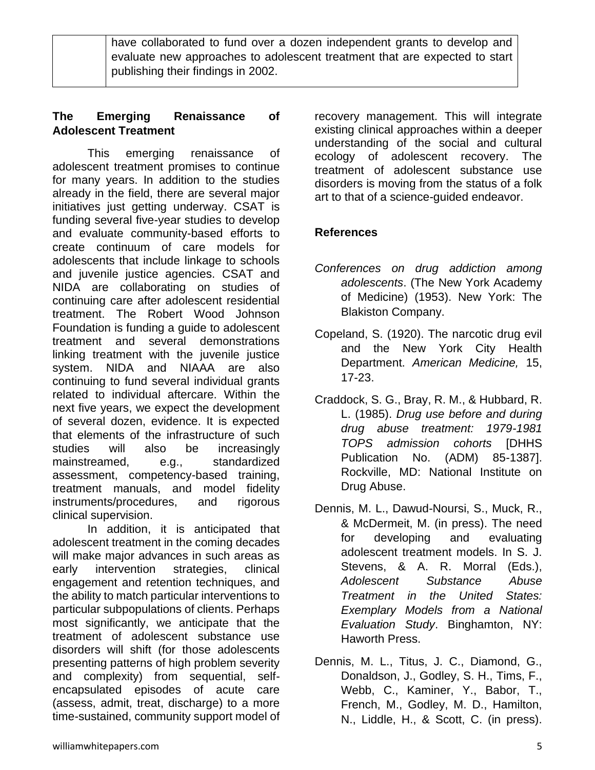have collaborated to fund over a dozen independent grants to develop and evaluate new approaches to adolescent treatment that are expected to start publishing their findings in 2002.

#### **The Emerging Renaissance of Adolescent Treatment**

This emerging renaissance of adolescent treatment promises to continue for many years. In addition to the studies already in the field, there are several major initiatives just getting underway. CSAT is funding several five-year studies to develop and evaluate community-based efforts to create continuum of care models for adolescents that include linkage to schools and juvenile justice agencies. CSAT and NIDA are collaborating on studies of continuing care after adolescent residential treatment. The Robert Wood Johnson Foundation is funding a guide to adolescent treatment and several demonstrations linking treatment with the juvenile justice system. NIDA and NIAAA are also continuing to fund several individual grants related to individual aftercare. Within the next five years, we expect the development of several dozen, evidence. It is expected that elements of the infrastructure of such studies will also be increasingly mainstreamed, e.g., standardized assessment, competency-based training, treatment manuals, and model fidelity instruments/procedures, and rigorous clinical supervision.

In addition, it is anticipated that adolescent treatment in the coming decades will make major advances in such areas as early intervention strategies, clinical engagement and retention techniques, and the ability to match particular interventions to particular subpopulations of clients. Perhaps most significantly, we anticipate that the treatment of adolescent substance use disorders will shift (for those adolescents presenting patterns of high problem severity and complexity) from sequential, selfencapsulated episodes of acute care (assess, admit, treat, discharge) to a more time-sustained, community support model of

recovery management. This will integrate existing clinical approaches within a deeper understanding of the social and cultural ecology of adolescent recovery. The treatment of adolescent substance use disorders is moving from the status of a folk art to that of a science-guided endeavor.

## **References**

- *Conferences on drug addiction among adolescents*. (The New York Academy of Medicine) (1953). New York: The Blakiston Company.
- Copeland, S. (1920). The narcotic drug evil and the New York City Health Department. *American Medicine,* 15, 17-23.
- Craddock, S. G., Bray, R. M., & Hubbard, R. L. (1985). *Drug use before and during drug abuse treatment: 1979-1981 TOPS admission cohorts* [DHHS Publication No. (ADM) 85-1387]. Rockville, MD: National Institute on Drug Abuse.
- Dennis, M. L., Dawud-Noursi, S., Muck, R., & McDermeit, M. (in press). The need for developing and evaluating adolescent treatment models. In S. J. Stevens, & A. R. Morral (Eds.), *Adolescent Substance Abuse Treatment in the United States: Exemplary Models from a National Evaluation Study*. Binghamton, NY: Haworth Press.
- Dennis, M. L., Titus, J. C., Diamond, G., Donaldson, J., Godley, S. H., Tims, F., Webb, C., Kaminer, Y., Babor, T., French, M., Godley, M. D., Hamilton, N., Liddle, H., & Scott, C. (in press).